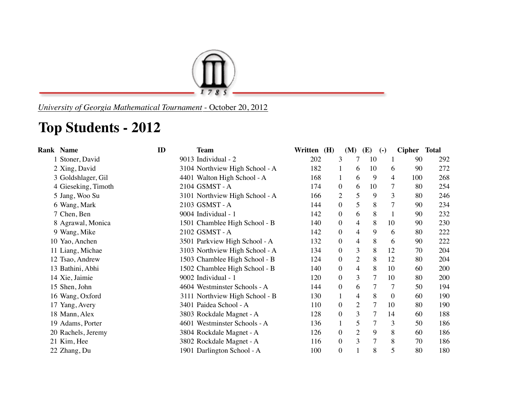

*University of Georgia Mathematical Tournament* - October 20, 2012

## **Top Students - 2012**

| <b>Rank Name</b>    | ID | <b>Team</b>                    | Written (H) | (M)              | <b>(E)</b>          | $\left( -\right)$ | Cipher Total |     |
|---------------------|----|--------------------------------|-------------|------------------|---------------------|-------------------|--------------|-----|
| 1 Stoner, David     |    | 9013 Individual - 2            | 202         | 3                | 7<br>10             | 1                 | 90           | 292 |
| 2 Xing, David       |    | 3104 Northview High School - A | 182         |                  | 10<br>6             | 6                 | 90           | 272 |
| 3 Goldshlager, Gil  |    | 4401 Walton High School - A    | 168         |                  | 9<br>6              | 4                 | 100          | 268 |
| 4 Gieseking, Timoth |    | 2104 GSMST - A                 | 174         | $\overline{0}$   | 10<br>6             | $\overline{7}$    | 80           | 254 |
| 5 Jang, Woo Su      |    | 3101 Northview High School - A | 166         | $\overline{c}$   | 5<br>9              | 3                 | 80           | 246 |
| 6 Wang, Mark        |    | 2103 GSMST - A                 | 144         | $\overline{0}$   | 5<br>8              | 7                 | 90           | 234 |
| 7 Chen, Ben         |    | 9004 Individual - 1            | 142         | $\overline{0}$   | 8<br>6              | 1                 | 90           | 232 |
| 8 Agrawal, Monica   |    | 1501 Chamblee High School - B  | 140         | 0                | 8<br>4              | 10                | 90           | 230 |
| 9 Wang, Mike        |    | 2102 GSMST - A                 | 142         | $\boldsymbol{0}$ | $\overline{4}$<br>9 | 6                 | 80           | 222 |
| 10 Yao, Anchen      |    | 3501 Parkview High School - A  | 132         | $\boldsymbol{0}$ | 8<br>$\overline{4}$ | 6                 | 90           | 222 |
| 11 Liang, Michae    |    | 3103 Northview High School - A | 134         | 0                | 3<br>8              | 12                | 70           | 204 |
| 12 Tsao, Andrew     |    | 1503 Chamblee High School - B  | 124         | $\boldsymbol{0}$ | $\overline{2}$<br>8 | 12                | 80           | 204 |
| 13 Bathini, Abhi    |    | 1502 Chamblee High School - B  | 140         | $\overline{0}$   | $\overline{4}$<br>8 | 10                | 60           | 200 |
| 14 Xie, Jaimie      |    | 9002 Individual - 1            | 120         | $\boldsymbol{0}$ | 3<br>7              | 10                | 80           | 200 |
| 15 Shen, John       |    | 4604 Westminster Schools - A   | 144         | $\overline{0}$   | 6                   | 7                 | 50           | 194 |
| 16 Wang, Oxford     |    | 3111 Northview High School - B | 130         |                  | 8<br>4              | $\boldsymbol{0}$  | 60           | 190 |
| 17 Yang, Avery      |    | 3401 Paidea School - A         | 110         | $\overline{0}$   | $\overline{2}$<br>7 | 10                | 80           | 190 |
| 18 Mann, Alex       |    | 3803 Rockdale Magnet - A       | 128         | $\overline{0}$   | 3<br>7              | 14                | 60           | 188 |
| 19 Adams, Porter    |    | 4601 Westminster Schools - A   | 136         | $\mathbf{1}$     | 5                   | 3                 | 50           | 186 |
| 20 Rachels, Jeremy  |    | 3804 Rockdale Magnet - A       | 126         | $\overline{0}$   | $\overline{2}$<br>9 | 8                 | 60           | 186 |
| 21 Kim, Hee         |    | 3802 Rockdale Magnet - A       | 116         | $\mathbf{0}$     | 3<br>7              | 8                 | 70           | 186 |
| 22 Zhang, Du        |    | 1901 Darlington School - A     | 100         | 0                | 8                   | 5                 | 80           | 180 |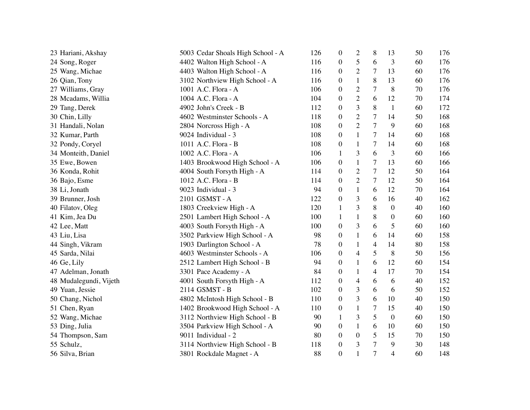| 23 Hariani, Akshay     | 5003 Cedar Shoals High School - A | 126 | $\overline{0}$   | $\overline{2}$ | 8                        | 13               | 50 | 176 |
|------------------------|-----------------------------------|-----|------------------|----------------|--------------------------|------------------|----|-----|
| 24 Song, Roger         | 4402 Walton High School - A       | 116 | $\overline{0}$   | 5              | 6                        | 3                | 60 | 176 |
| 25 Wang, Michae        | 4403 Walton High School - A       | 116 | $\boldsymbol{0}$ | $\mathbf{2}$   | 7                        | 13               | 60 | 176 |
| 26 Qian, Tony          | 3102 Northview High School - A    | 116 | $\boldsymbol{0}$ | $\mathbf{1}$   | 8                        | 13               | 60 | 176 |
| 27 Williams, Gray      | 1001 A.C. Flora - A               | 106 | $\boldsymbol{0}$ | $\overline{2}$ | 7                        | 8                | 70 | 176 |
| 28 Mcadams, Willia     | 1004 A.C. Flora - A               | 104 | $\boldsymbol{0}$ | $\overline{2}$ | 6                        | 12               | 70 | 174 |
| 29 Tang, Derek         | 4902 John's Creek - B             | 112 | $\boldsymbol{0}$ | 3              | 8                        | $\mathbf{1}$     | 60 | 172 |
| 30 Chin, Lilly         | 4602 Westminster Schools - A      | 118 | $\boldsymbol{0}$ | $\overline{2}$ | $\tau$                   | 14               | 50 | 168 |
| 31 Handali, Nolan      | 2804 Norcross High - A            | 108 | $\boldsymbol{0}$ | $\overline{2}$ | $\tau$                   | 9                | 60 | 168 |
| 32 Kumar, Parth        | 9024 Individual - 3               | 108 | $\boldsymbol{0}$ | $\mathbf{1}$   | 7                        | 14               | 60 | 168 |
| 32 Pondy, Coryel       | 1011 A.C. Flora - B               | 108 | $\boldsymbol{0}$ | $\mathbf{1}$   | 7                        | 14               | 60 | 168 |
| 34 Monteith, Daniel    | 1002 A.C. Flora - A               | 106 | 1                | 3              | 6                        | 3                | 60 | 166 |
| 35 Ewe, Bowen          | 1403 Brookwood High School - A    | 106 | $\boldsymbol{0}$ | $\mathbf{1}$   | $\tau$                   | 13               | 60 | 166 |
| 36 Konda, Rohit        | 4004 South Forsyth High - A       | 114 | $\boldsymbol{0}$ | $\overline{2}$ | 7                        | 12               | 50 | 164 |
| 36 Bajo, Esme          | 1012 A.C. Flora - B               | 114 | $\boldsymbol{0}$ | $\overline{2}$ | $\overline{7}$           | 12               | 50 | 164 |
| 38 Li, Jonath          | 9023 Individual - 3               | 94  | $\overline{0}$   | $\mathbf{1}$   | 6                        | 12               | 70 | 164 |
| 39 Brunner, Josh       | 2101 GSMST - A                    | 122 | $\overline{0}$   | 3              | 6                        | 16               | 40 | 162 |
| 40 Filatov, Oleg       | 1803 Creekview High - A           | 120 | 1                | 3              | 8                        | $\boldsymbol{0}$ | 40 | 160 |
| 41 Kim, Jea Du         | 2501 Lambert High School - A      | 100 | 1                | $\mathbf{1}$   | 8                        | $\boldsymbol{0}$ | 60 | 160 |
| 42 Lee, Matt           | 4003 South Forsyth High - A       | 100 | $\boldsymbol{0}$ | 3              | 6                        | 5                | 60 | 160 |
| 43 Liu, Lisa           | 3502 Parkview High School - A     | 98  | $\boldsymbol{0}$ | $\mathbf{1}$   | 6                        | 14               | 60 | 158 |
| 44 Singh, Vikram       | 1903 Darlington School - A        | 78  | $\boldsymbol{0}$ | 1              | $\overline{\mathcal{A}}$ | 14               | 80 | 158 |
| 45 Sarda, Nilai        | 4603 Westminster Schools - A      | 106 | $\boldsymbol{0}$ | $\overline{4}$ | 5                        | 8                | 50 | 156 |
| 46 Ge, Lily            | 2512 Lambert High School - B      | 94  | $\boldsymbol{0}$ | $\mathbf{1}$   | 6                        | 12               | 60 | 154 |
| 47 Adelman, Jonath     | 3301 Pace Academy - A             | 84  | $\boldsymbol{0}$ | $\mathbf{1}$   | $\overline{4}$           | 17               | 70 | 154 |
| 48 Mudalegundi, Vijeth | 4001 South Forsyth High - A       | 112 | $\boldsymbol{0}$ | $\overline{4}$ | 6                        | 6                | 40 | 152 |
| 49 Yuan, Jessie        | 2114 GSMST - B                    | 102 | $\boldsymbol{0}$ | 3              | 6                        | 6                | 50 | 152 |
| 50 Chang, Nichol       | 4802 McIntosh High School - B     | 110 | $\boldsymbol{0}$ | 3              | 6                        | 10               | 40 | 150 |
| 51 Chen, Ryan          | 1402 Brookwood High School - A    | 110 | $\boldsymbol{0}$ | $\mathbf{1}$   | $\boldsymbol{7}$         | 15               | 40 | 150 |
| 52 Wang, Michae        | 3112 Northview High School - B    | 90  | $\mathbf{1}$     | 3              | 5                        | $\overline{0}$   | 60 | 150 |
| 53 Ding, Julia         | 3504 Parkview High School - A     | 90  | $\overline{0}$   | $\mathbf{1}$   | 6                        | 10               | 60 | 150 |
| 54 Thompson, Sam       | 9011 Individual - 2               | 80  | $\overline{0}$   | $\theta$       | 5                        | 15               | 70 | 150 |
| 55 Schulz,             | 3114 Northview High School - B    | 118 | $\boldsymbol{0}$ | 3              | $\tau$                   | 9                | 30 | 148 |
| 56 Silva, Brian        | 3801 Rockdale Magnet - A          | 88  | $\overline{0}$   | $\mathbf{1}$   | 7                        | $\overline{4}$   | 60 | 148 |